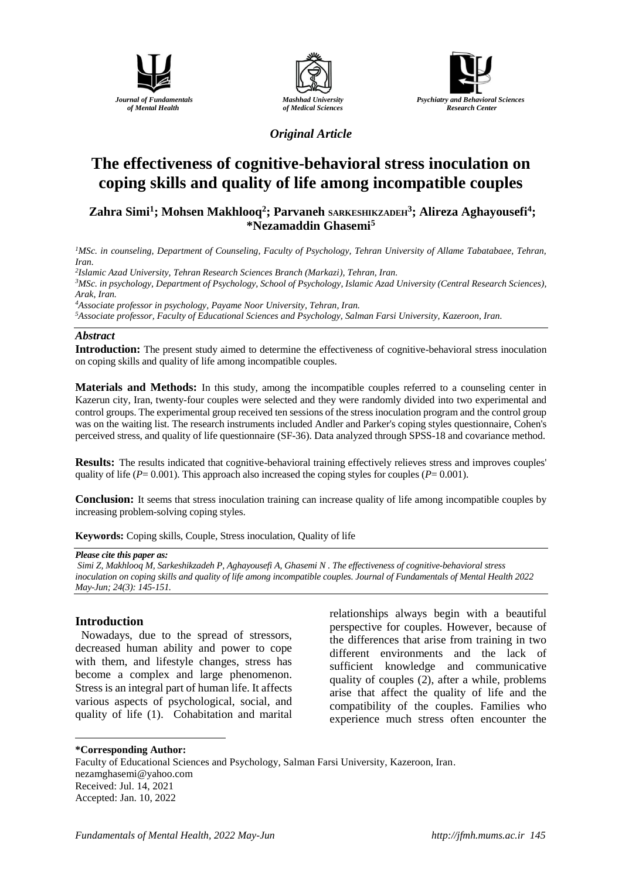





*Original Article*

# **The effectiveness of cognitive-behavioral stress inoculation on coping skills and quality of life among incompatible couples**

## **[Zahra](https://jfmh.mums.ac.ir/?_action=article&au=215613&_au=Yaghoob++Raissi+Ahvan&lang=en) Simi<sup>1</sup> ; Mohsen Makhlooq<sup>2</sup> ; Parvaneh SARKESHIKZADEH<sup>3</sup> ; Alireza Aghayousefi<sup>4</sup> ; \*Nezamaddin Ghasemi<sup>5</sup>**

<sup>1</sup>*MSc. in counseling, Department of Counseling, Faculty of Psychology, Tehran University of Allame Tabatabaee, Tehran, Iran.*

*2 Islamic Azad University, Tehran Research Sciences Branch (Markazi), Tehran, Iran. <sup>3</sup>MSc. in psychology, Department of Psychology, School of Psychology, Islamic Azad University (Central Research Sciences), Arak, Iran.*

*<sup>4</sup>Associate professor in psychology, Payame Noor University, Tehran, Iran.*

*<sup>5</sup>Associate professor, Faculty of Educational Sciences and Psychology, Salman Farsi University, Kazeroon, Iran.*

#### *Abstract*

**Introduction:** The present study aimed to determine the effectiveness of cognitive-behavioral stress inoculation on coping skills and quality of life among incompatible couples.

**Materials and Methods:** In this study, among the incompatible couples referred to a counseling center in Kazerun city, Iran, twenty-four couples were selected and they were randomly divided into two experimental and control groups. The experimental group received ten sessions of the stress inoculation program and the control group was on the waiting list. The research instruments included Andler and Parker's coping styles questionnaire, Cohen's perceived stress, and quality of life questionnaire (SF-36). Data analyzed through SPSS-18 and covariance method.

**Results:** The results indicated that cognitive-behavioral training effectively relieves stress and improves couples' quality of life ( $P = 0.001$ ). This approach also increased the coping styles for couples ( $P = 0.001$ ).

**Conclusion:** It seems that stress inoculation training can increase quality of life among incompatible couples by increasing problem-solving coping styles.

**Keywords:** Coping skills, Couple, Stress inoculation, Quality of life

#### *Please cite this paper as:*

*[Simi](https://jfmh.mums.ac.ir/?_action=article&au=215613&_au=Yaghoob++Raissi+Ahvan&lang=en) Z, Makhlooq M, Sarkeshikzadeh P, Aghayousefi A, Ghasemi N . The effectiveness of cognitive-behavioral stress inoculation on coping skills and quality of life among incompatible couples. Journal of Fundamentals of Mental Health 2022 May-Jun; 24(3): 145-151.*

## **Introduction**

<u>.</u>

Nowadays, due to the spread of stressors, decreased human ability and power to cope with them, and lifestyle changes, stress has become a complex and large phenomenon. Stress is an integral part of human life. It affects various aspects of psychological, social, and quality of life (1). Cohabitation and marital relationships always begin with a beautiful perspective for couples. However, because of the differences that arise from training in two different environments and the lack of sufficient knowledge and communicative quality of couples (2), after a while, problems arise that affect the quality of life and the compatibility of the couples. Families who experience much stress often encounter the

#### **\*Corresponding Author:**

Faculty of Educational Sciences and Psychology, Salman Farsi University, Kazeroon, Iran. nezamghasemi@yahoo.com Received: Jul. 14, 2021 Accepted: Jan. 10, 2022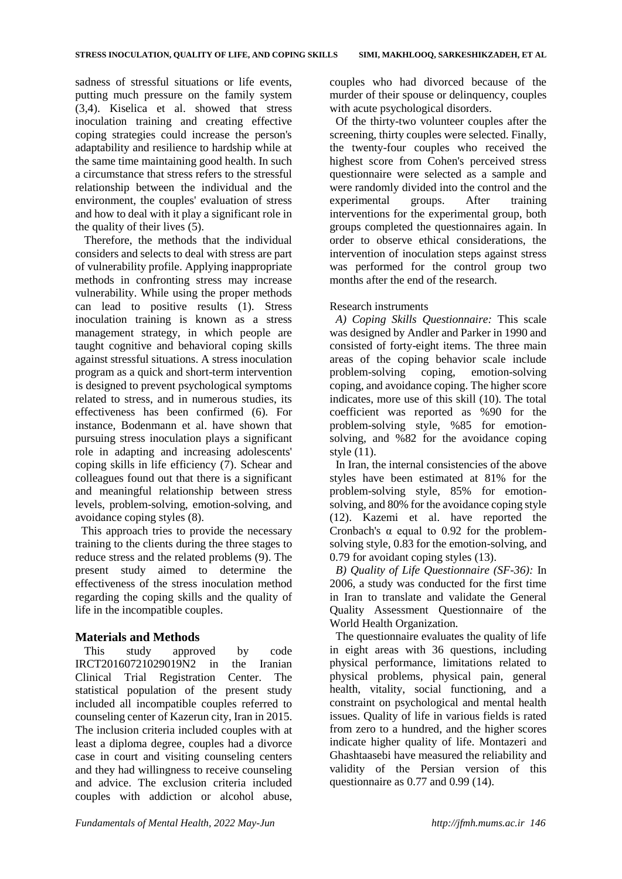sadness of stressful situations or life events, putting much pressure on the family system (3,4). Kiselica et al. showed that stress inoculation training and creating effective coping strategies could increase the person's adaptability and resilience to hardship while at the same time maintaining good health. In such a circumstance that stress refers to the stressful relationship between the individual and the environment, the couples' evaluation of stress and how to deal with it play a significant role in the quality of their lives (5).

Therefore, the methods that the individual considers and selects to deal with stress are part of vulnerability profile. Applying inappropriate methods in confronting stress may increase vulnerability. While using the proper methods can lead to positive results (1). Stress inoculation training is known as a stress management strategy, in which people are taught cognitive and behavioral coping skills against stressful situations. A stress inoculation program as a quick and short-term intervention is designed to prevent psychological symptoms related to stress, and in numerous studies, its effectiveness has been confirmed (6). For instance, Bodenmann et al. have shown that pursuing stress inoculation plays a significant role in adapting and increasing adolescents' coping skills in life efficiency (7). Schear and colleagues found out that there is a significant and meaningful relationship between stress levels, problem-solving, emotion-solving, and avoidance coping styles (8).

This approach tries to provide the necessary training to the clients during the three stages to reduce stress and the related problems (9). The present study aimed to determine the effectiveness of the stress inoculation method regarding the coping skills and the quality of life in the incompatible couples.

## **Materials and Methods**

This study approved by code IRCT20160721029019N2 in the Iranian Clinical Trial Registration Center. The statistical population of the present study included all incompatible couples referred to counseling center of Kazerun city, Iran in 2015. The inclusion criteria included couples with at least a diploma degree, couples had a divorce case in court and visiting counseling centers and they had willingness to receive counseling and advice. The exclusion criteria included couples with addiction or alcohol abuse, couples who had divorced because of the murder of their spouse or delinquency, couples with acute psychological disorders.

Of the thirty-two volunteer couples after the screening, thirty couples were selected. Finally, the twenty-four couples who received the highest score from Cohen's perceived stress questionnaire were selected as a sample and were randomly divided into the control and the experimental groups. After training interventions for the experimental group, both groups completed the questionnaires again. In order to observe ethical considerations, the intervention of inoculation steps against stress was performed for the control group two months after the end of the research.

## Research instruments

*A) Coping Skills Questionnaire:* This scale was designed by Andler and Parker in 1990 and consisted of forty-eight items. The three main areas of the coping behavior scale include problem-solving coping, emotion-solving coping, and avoidance coping. The higher score indicates, more use of this skill (10). The total coefficient was reported as %90 for the problem-solving style, %85 for emotionsolving, and %82 for the avoidance coping style (11).

In Iran, the internal consistencies of the above styles have been estimated at 81% for the problem-solving style, 85% for emotionsolving, and 80% for the avoidance coping style (12). Kazemi et al. have reported the Cronbach's  $\alpha$  equal to 0.92 for the problemsolving style, 0.83 for the emotion-solving, and 0.79 for avoidant coping styles (13).

*B) Quality of Life Questionnaire (SF-36):* In 2006, a study was conducted for the first time in Iran to translate and validate the General Quality Assessment Questionnaire of the World Health Organization.

The questionnaire evaluates the quality of life in eight areas with 36 questions, including physical performance, limitations related to physical problems, physical pain, general health, vitality, social functioning, and a constraint on psychological and mental health issues. Quality of life in various fields is rated from zero to a hundred, and the higher scores indicate higher quality of life. Montazeri and Ghashtaasebi have measured the reliability and validity of the Persian version of this questionnaire as 0.77 and 0.99 (14).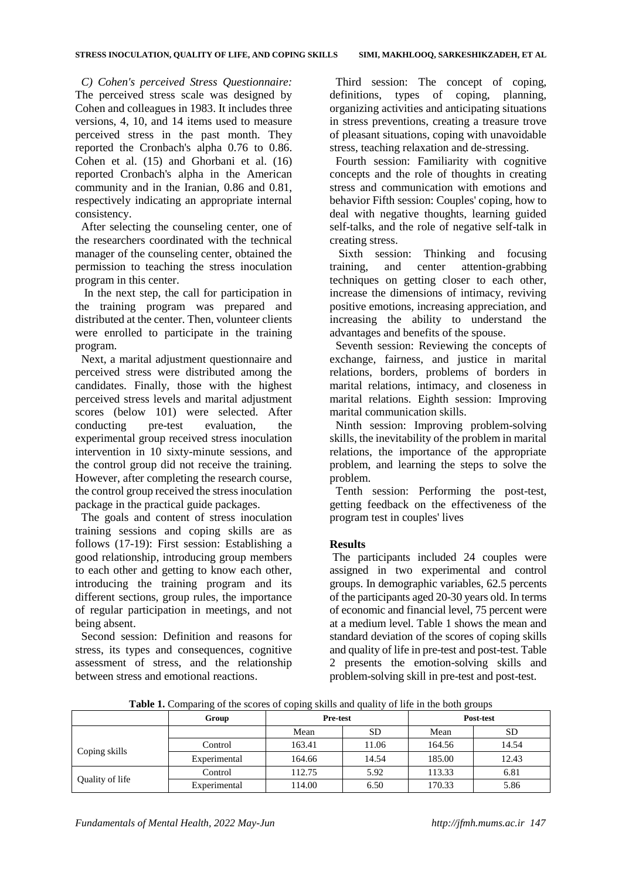*C) Cohen's perceived Stress Questionnaire:* The perceived stress scale was designed by Cohen and colleagues in 1983. It includes three versions, 4, 10, and 14 items used to measure perceived stress in the past month. They reported the Cronbach's alpha 0.76 to 0.86. Cohen et al. (15) and Ghorbani et al. (16) reported Cronbach's alpha in the American community and in the Iranian, 0.86 and 0.81, respectively indicating an appropriate internal consistency.

After selecting the counseling center, one of the researchers coordinated with the technical manager of the counseling center, obtained the permission to teaching the stress inoculation program in this center.

In the next step, the call for participation in the training program was prepared and distributed at the center. Then, volunteer clients were enrolled to participate in the training program.

Next, a marital adjustment questionnaire and perceived stress were distributed among the candidates. Finally, those with the highest perceived stress levels and marital adjustment scores (below 101) were selected. After conducting pre-test evaluation, the experimental group received stress inoculation intervention in 10 sixty-minute sessions, and the control group did not receive the training. However, after completing the research course, the control group received the stress inoculation package in the practical guide packages.

The goals and content of stress inoculation training sessions and coping skills are as follows (17-19): First session: Establishing a good relationship, introducing group members to each other and getting to know each other, introducing the training program and its different sections, group rules, the importance of regular participation in meetings, and not being absent.

Second session: Definition and reasons for stress, its types and consequences, cognitive assessment of stress, and the relationship between stress and emotional reactions.

Third session: The concept of coping, definitions, types of coping, planning, organizing activities and anticipating situations in stress preventions, creating a treasure trove of pleasant situations, coping with unavoidable stress, teaching relaxation and de-stressing.

Fourth session: Familiarity with cognitive concepts and the role of thoughts in creating stress and communication with emotions and behavior Fifth session: Couples' coping, how to deal with negative thoughts, learning guided self-talks, and the role of negative self-talk in creating stress.

Sixth session: Thinking and focusing training, and center attention-grabbing techniques on getting closer to each other, increase the dimensions of intimacy, reviving positive emotions, increasing appreciation, and increasing the ability to understand the advantages and benefits of the spouse.

Seventh session: Reviewing the concepts of exchange, fairness, and justice in marital relations, borders, problems of borders in marital relations, intimacy, and closeness in marital relations. Eighth session: Improving marital communication skills.

Ninth session: Improving problem-solving skills, the inevitability of the problem in marital relations, the importance of the appropriate problem, and learning the steps to solve the problem.

Tenth session: Performing the post-test, getting feedback on the effectiveness of the program test in couples' lives

## **Results**

The participants included 24 couples were assigned in two experimental and control groups. In demographic variables, 62.5 percents of the participants aged 20-30 years old. In terms of economic and financial level, 75 percent were at a medium level. Table 1 shows the mean and standard deviation of the scores of coping skills and quality of life in pre-test and post-test. Table 2 presents the emotion-solving skills and problem-solving skill in pre-test and post-test.

| --------<br>--- <del>--</del> - -- -- -- |              |                 |       |           |       |  |  |  |  |
|------------------------------------------|--------------|-----------------|-------|-----------|-------|--|--|--|--|
|                                          | Group        | <b>Pre-test</b> |       | Post-test |       |  |  |  |  |
|                                          |              | Mean<br>SD      |       | Mean      | SD    |  |  |  |  |
|                                          | Control      | 163.41          | 11.06 | 164.56    | 14.54 |  |  |  |  |
| Coping skills                            | Experimental | 164.66          | 14.54 | 185.00    | 12.43 |  |  |  |  |
| Quality of life                          | Control      | 112.75          | 5.92  | 113.33    | 6.81  |  |  |  |  |
|                                          | Experimental | 114.00          | 6.50  | 170.33    | 5.86  |  |  |  |  |

**Table 1.** Comparing of the scores of coping skills and quality of life in the both groups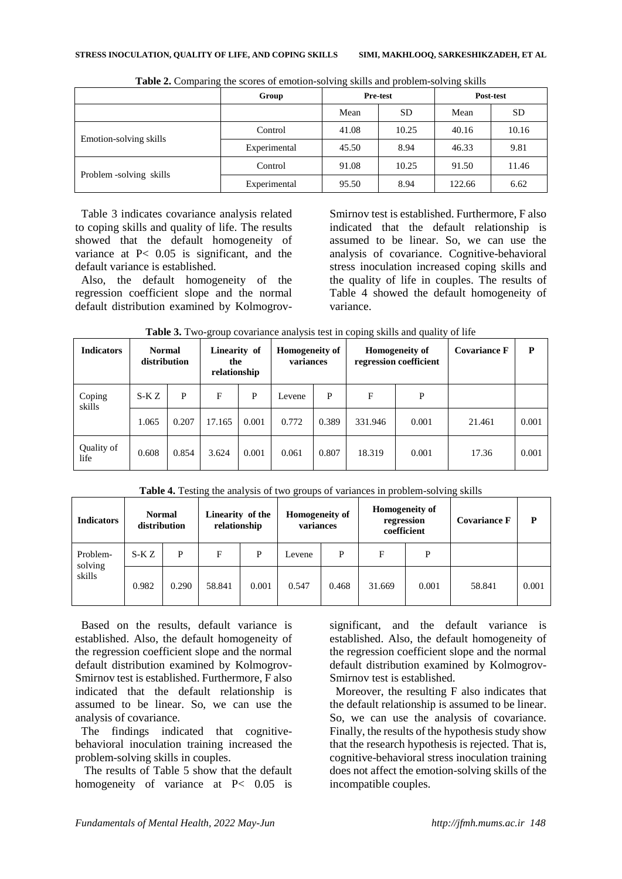|                         | Group        | <b>Pre-test</b> |           |        | Post-test |
|-------------------------|--------------|-----------------|-----------|--------|-----------|
|                         |              | Mean            | <b>SD</b> | Mean   | <b>SD</b> |
| Emotion-solving skills  | Control      | 41.08           | 10.25     | 40.16  | 10.16     |
|                         | Experimental | 45.50           | 8.94      | 46.33  | 9.81      |
| Problem -solving skills | Control      | 91.08           | 10.25     | 91.50  | 11.46     |
|                         | Experimental | 95.50           | 8.94      | 122.66 | 6.62      |

**Table 2.** Comparing the scores of emotion-solving skills and problem-solving skills

Table 3 indicates covariance analysis related to coping skills and quality of life. The results showed that the default homogeneity of variance at P< 0.05 is significant, and the default variance is established.

Also, the default homogeneity of the regression coefficient slope and the normal default distribution examined by KolmogrovSmirnov test is established. Furthermore, F also indicated that the default relationship is assumed to be linear. So, we can use the analysis of covariance. Cognitive-behavioral stress inoculation increased coping skills and the quality of life in couples. The results of Table 4 showed the default homogeneity of variance.

| <b>Indicators</b>  | <b>Normal</b><br>distribution |       | Linearity of<br>the<br>relationship |       | <b>Homogeneity of</b><br>variances |       | <b>Homogeneity of</b><br>regression coefficient |       | <b>Covariance F</b> | P     |
|--------------------|-------------------------------|-------|-------------------------------------|-------|------------------------------------|-------|-------------------------------------------------|-------|---------------------|-------|
| Coping<br>skills   | S-KZ                          | P     | F                                   | P     | Levene                             | P     | F                                               | P     |                     |       |
|                    | 1.065                         | 0.207 | 17.165                              | 0.001 | 0.772                              | 0.389 | 331.946                                         | 0.001 | 21.461              | 0.001 |
| Quality of<br>life | 0.608                         | 0.854 | 3.624                               | 0.001 | 0.061                              | 0.807 | 18.319                                          | 0.001 | 17.36               | 0.001 |

**Table 3.** Two-group covariance analysis test in coping skills and quality of life

**Table 4.** Testing the analysis of two groups of variances in problem-solving skills

| <b>Indicators</b>   | <b>Normal</b><br>distribution |       | Linearity of the<br>relationship |       | Homogeneity of<br>variances |       | <b>Homogeneity of</b><br>regression<br>coefficient |       | <b>Covariance F</b> | P     |
|---------------------|-------------------------------|-------|----------------------------------|-------|-----------------------------|-------|----------------------------------------------------|-------|---------------------|-------|
| Problem-<br>solving | S-K Z                         | P     | F                                | P     | Levene                      | P     | F                                                  | P     |                     |       |
| skills              | 0.982                         | 0.290 | 58.841                           | 0.001 | 0.547                       | 0.468 | 31.669                                             | 0.001 | 58.841              | 0.001 |

Based on the results, default variance is established. Also, the default homogeneity of the regression coefficient slope and the normal default distribution examined by Kolmogrov-Smirnov test is established. Furthermore, F also indicated that the default relationship is assumed to be linear. So, we can use the analysis of covariance.

The findings indicated that cognitivebehavioral inoculation training increased the problem-solving skills in couples.

The results of Table 5 show that the default homogeneity of variance at P< 0.05 is significant, and the default variance is established. Also, the default homogeneity of the regression coefficient slope and the normal default distribution examined by Kolmogrov-Smirnov test is established.

Moreover, the resulting F also indicates that the default relationship is assumed to be linear. So, we can use the analysis of covariance. Finally, the results of the hypothesis study show that the research hypothesis is rejected. That is, cognitive-behavioral stress inoculation training does not affect the emotion-solving skills of the incompatible couples.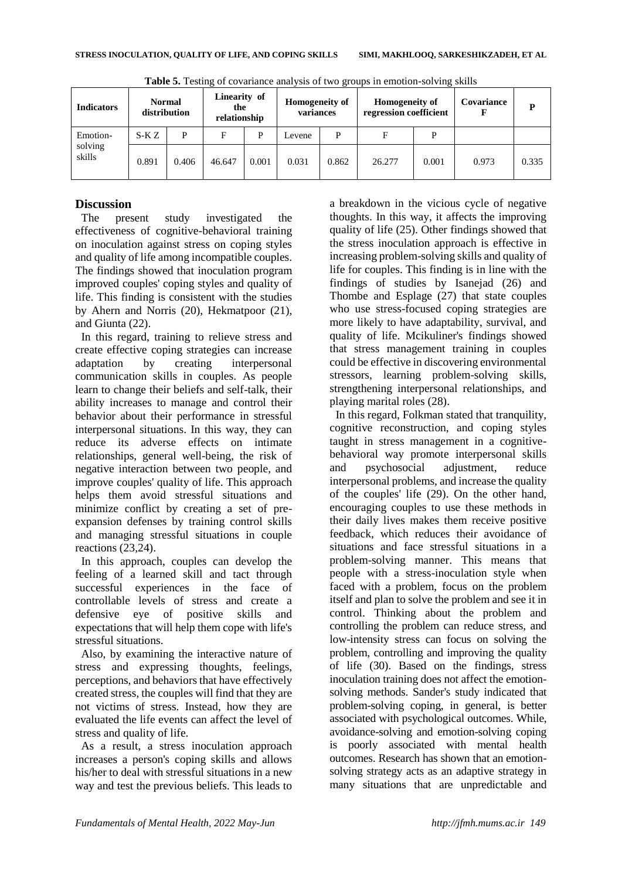| <b>Indicators</b> | <b>Normal</b><br>distribution |       | Linearity of<br>the<br>relationship |       | Homogeneity of<br>variances |       | <b>Homogeneity of</b><br>regression coefficient |       | Covariance | P     |
|-------------------|-------------------------------|-------|-------------------------------------|-------|-----------------------------|-------|-------------------------------------------------|-------|------------|-------|
| Emotion-          | $S-KZ$                        | P     | F                                   | D     | Levene                      | P     | F                                               | P     |            |       |
| solving<br>skills | 0.891                         | 0.406 | 46.647                              | 0.001 | 0.031                       | 0.862 | 26.277                                          | 0.001 | 0.973      | 0.335 |

**Table 5.** Testing of covariance analysis of two groups in emotion-solving skills

## **Discussion**

The present study investigated the effectiveness of cognitive-behavioral training on inoculation against stress on coping styles and quality of life among incompatible couples. The findings showed that inoculation program improved couples' coping styles and quality of life. This finding is consistent with the studies by Ahern and Norris (20), Hekmatpoor (21), and Giunta (22).

In this regard, training to relieve stress and create effective coping strategies can increase adaptation by creating interpersonal communication skills in couples. As people learn to change their beliefs and self-talk, their ability increases to manage and control their behavior about their performance in stressful interpersonal situations. In this way, they can reduce its adverse effects on intimate relationships, general well-being, the risk of negative interaction between two people, and improve couples' quality of life. This approach helps them avoid stressful situations and minimize conflict by creating a set of preexpansion defenses by training control skills and managing stressful situations in couple reactions (23,24).

In this approach, couples can develop the feeling of a learned skill and tact through successful experiences in the face of controllable levels of stress and create a defensive eye of positive skills and expectations that will help them cope with life's stressful situations.

Also, by examining the interactive nature of stress and expressing thoughts, feelings, perceptions, and behaviors that have effectively created stress, the couples will find that they are not victims of stress. Instead, how they are evaluated the life events can affect the level of stress and quality of life.

As a result, a stress inoculation approach increases a person's coping skills and allows his/her to deal with stressful situations in a new way and test the previous beliefs. This leads to

a breakdown in the vicious cycle of negative thoughts. In this way, it affects the improving quality of life (25). Other findings showed that the stress inoculation approach is effective in increasing problem-solving skills and quality of life for couples. This finding is in line with the findings of studies by Isanejad (26) and Thombe and Esplage (27) that state couples who use stress-focused coping strategies are more likely to have adaptability, survival, and quality of life. Mcikuliner's findings showed that stress management training in couples could be effective in discovering environmental stressors, learning problem-solving skills, strengthening interpersonal relationships, and playing marital roles (28).

In this regard, Folkman stated that tranquility, cognitive reconstruction, and coping styles taught in stress management in a cognitivebehavioral way promote interpersonal skills and psychosocial adjustment, reduce interpersonal problems, and increase the quality of the couples' life (29). On the other hand, encouraging couples to use these methods in their daily lives makes them receive positive feedback, which reduces their avoidance of situations and face stressful situations in a problem-solving manner. This means that people with a stress-inoculation style when faced with a problem, focus on the problem itself and plan to solve the problem and see it in control. Thinking about the problem and controlling the problem can reduce stress, and low-intensity stress can focus on solving the problem, controlling and improving the quality of life (30). Based on the findings, stress inoculation training does not affect the emotionsolving methods. Sander's study indicated that problem-solving coping, in general, is better associated with psychological outcomes. While, avoidance-solving and emotion-solving coping is poorly associated with mental health outcomes. Research has shown that an emotionsolving strategy acts as an adaptive strategy in many situations that are unpredictable and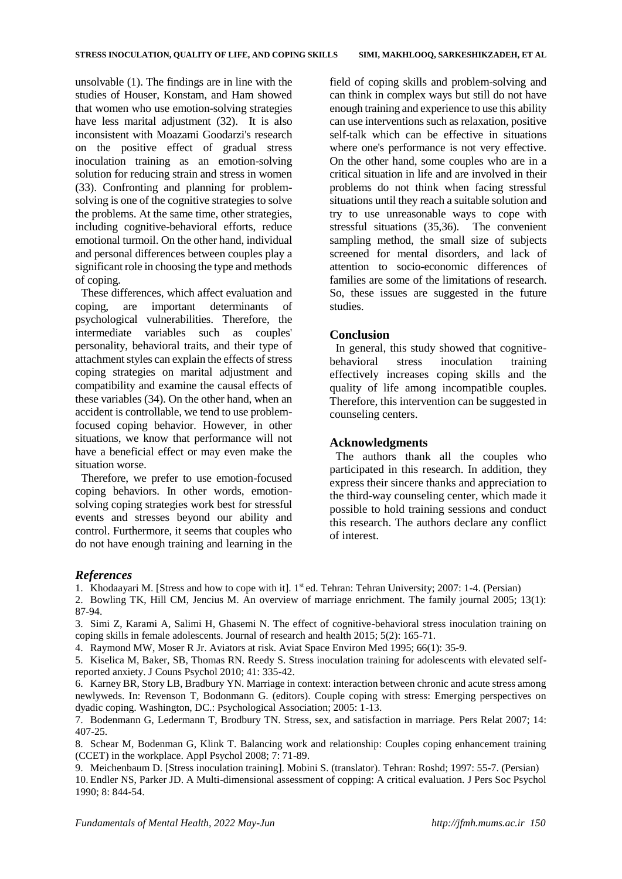unsolvable (1). The findings are in line with the studies of Houser, Konstam, and Ham showed that women who use emotion-solving strategies have less marital adjustment (32). It is also inconsistent with Moazami Goodarzi's research on the positive effect of gradual stress inoculation training as an emotion-solving solution for reducing strain and stress in women (33). Confronting and planning for problemsolving is one of the cognitive strategies to solve the problems. At the same time, other strategies, including cognitive-behavioral efforts, reduce emotional turmoil. On the other hand, individual and personal differences between couples play a significant role in choosing the type and methods of coping.

These differences, which affect evaluation and coping, are important determinants of psychological vulnerabilities. Therefore, the intermediate variables such as couples' personality, behavioral traits, and their type of attachment styles can explain the effects of stress coping strategies on marital adjustment and compatibility and examine the causal effects of these variables (34). On the other hand, when an accident is controllable, we tend to use problemfocused coping behavior. However, in other situations, we know that performance will not have a beneficial effect or may even make the situation worse.

Therefore, we prefer to use emotion-focused coping behaviors. In other words, emotionsolving coping strategies work best for stressful events and stresses beyond our ability and control. Furthermore, it seems that couples who do not have enough training and learning in the

field of coping skills and problem-solving and can think in complex ways but still do not have enough training and experience to use this ability can use interventions such as relaxation, positive self-talk which can be effective in situations where one's performance is not very effective. On the other hand, some couples who are in a critical situation in life and are involved in their problems do not think when facing stressful situations until they reach a suitable solution and try to use unreasonable ways to cope with stressful situations (35,36). The convenient sampling method, the small size of subjects screened for mental disorders, and lack of attention to socio-economic differences of families are some of the limitations of research. So, these issues are suggested in the future studies.

#### **Conclusion**

In general, this study showed that cognitivebehavioral stress inoculation training effectively increases coping skills and the quality of life among incompatible couples. Therefore, this intervention can be suggested in counseling centers.

#### **Acknowledgments**

The authors thank all the couples who participated in this research. In addition, they express their sincere thanks and appreciation to the third-way counseling center, which made it possible to hold training sessions and conduct this research. The authors declare any conflict of interest.

#### *References*

1. Khodaayari M. [Stress and how to cope with it]. 1st ed. Tehran: Tehran University; 2007: 1-4. (Persian)

2. Bowling TK, Hill CM, Jencius M. An overview of marriage enrichment. The family journal 2005; 13(1): 87-94.

3. Simi Z, Karami A, Salimi H, Ghasemi N. The effect of cognitive-behavioral stress inoculation training on coping skills in female adolescents. Journal of research and health 2015; 5(2): 165-71.

4. Raymond MW, Moser R Jr. Aviators at risk. Aviat Space Environ Med 1995; 66(1): 35-9.

5. Kiselica M, Baker, SB, Thomas RN. Reedy S. Stress inoculation training for adolescents with elevated selfreported anxiety. J Couns Psychol 2010; 41: 335-42.

6. Karney BR, Story LB, Bradbury YN. Marriage in context: interaction between chronic and acute stress among newlyweds. In: Revenson T, Bodonmann G. (editors). Couple coping with stress: Emerging perspectives on dyadic coping. Washington, DC.: Psychological Association; 2005: 1-13.

7. Bodenmann G, Ledermann T, Brodbury TN. Stress, sex, and satisfaction in marriage. Pers Relat 2007; 14: 407-25.

8. Schear M, Bodenman G, Klink T. Balancing work and relationship: Couples coping enhancement training (CCET) in the workplace. Appl Psychol 2008; 7: 71-89.

9. Meichenbaum D. [Stress inoculation training]. Mobini S. (translator). Tehran: Roshd; 1997: 55-7. (Persian) 10. Endler NS, Parker JD. A Multi-dimensional assessment of copping: A critical evaluation. J Pers Soc Psychol 1990; 8: 844-54.